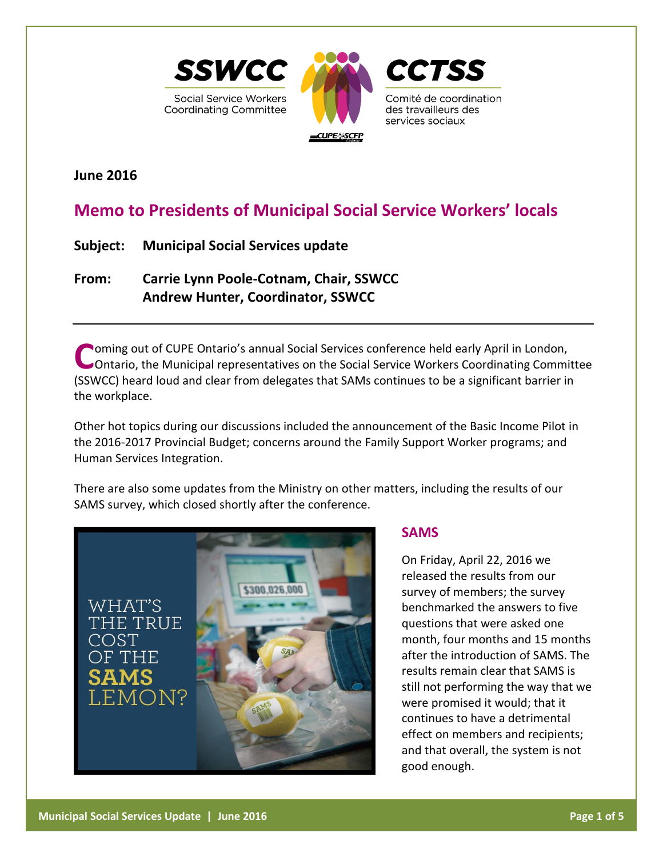

**June 2016**

# **Memo to Presidents of Municipal Social Service Workers' locals**

**Subject: Municipal Social Services update**

**From: Carrie Lynn Poole-Cotnam, Chair, SSWCC Andrew Hunter, Coordinator, SSWCC**

**Coming out of CUPE Ontario's annual Social Services conference held early April in London,**<br> **COntario, the Municipal representatives on the Social Service Workers Coordinating Comm** Ontario, the Municipal representatives on the Social Service Workers Coordinating Committee (SSWCC) heard loud and clear from delegates that SAMs continues to be a significant barrier in the workplace.

Other hot topics during our discussions included the announcement of the Basic Income Pilot in the 2016-2017 Provincial Budget; concerns around the Family Support Worker programs; and Human Services Integration.

There are also some updates from the Ministry on other matters, including the results of our SAMS survey, which closed shortly after the conference.



# **SAMS**

On Friday, April 22, 2016 we released the results from our survey of members; the survey benchmarked the answers to five questions that were asked one month, four months and 15 months after the introduction of SAMS. The results remain clear that SAMS is still not performing the way that we were promised it would; that it continues to have a detrimental effect on members and recipients; and that overall, the system is not good enough.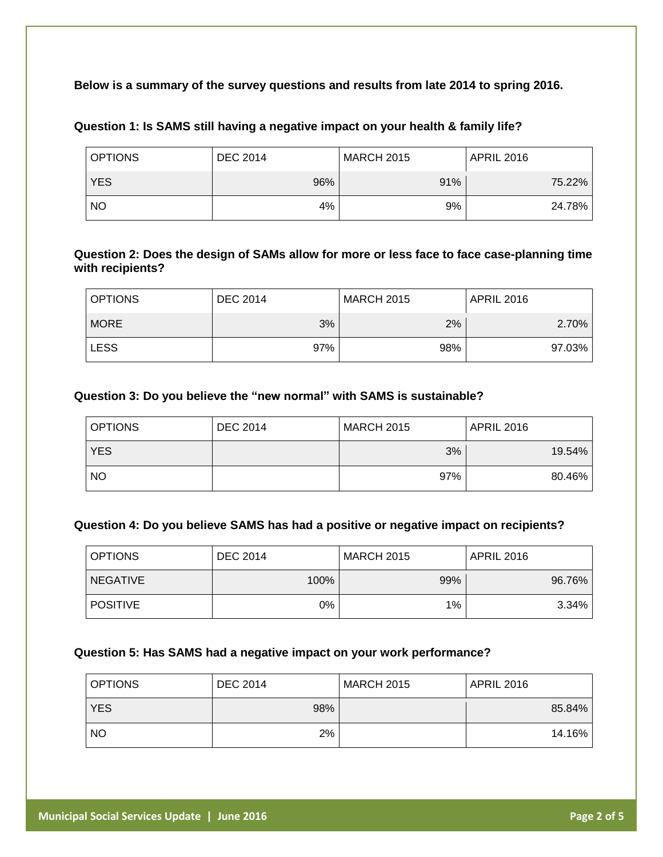### **Below is a summary of the survey questions and results from late 2014 to spring 2016.**

| <b>OPTIONS</b> | <b>DEC 2014</b> | <b>MARCH 2015</b> | APRIL 2016 |
|----------------|-----------------|-------------------|------------|
| <b>YES</b>     | 96%             | 91%               | 75.22%     |
| <b>NO</b>      | 4%              | 9%                | 24.78%     |

### **Question 1: Is SAMS still having a negative impact on your health & family life?**

### **Question 2: Does the design of SAMs allow for more or less face to face case-planning time with recipients?**

| <b>OPTIONS</b> | <b>DEC 2014</b> | <b>MARCH 2015</b> | <b>APRIL 2016</b> |
|----------------|-----------------|-------------------|-------------------|
| <b>MORE</b>    | 3%              | 2%                | 2.70%             |
| <b>LESS</b>    | 97%             | 98%               | 97.03%            |

#### **Question 3: Do you believe the "new normal" with SAMS is sustainable?**

| <b>OPTIONS</b> | <b>DEC 2014</b> | <b>MARCH 2015</b> | <b>APRIL 2016</b> |
|----------------|-----------------|-------------------|-------------------|
| <b>YES</b>     |                 | 3%                | 19.54%            |
| <b>NO</b>      |                 | 97%               | 80.46%            |

#### **Question 4: Do you believe SAMS has had a positive or negative impact on recipients?**

| <b>OPTIONS</b>  | <b>DEC 2014</b> | <b>MARCH 2015</b> | <b>APRIL 2016</b> |
|-----------------|-----------------|-------------------|-------------------|
| <b>NEGATIVE</b> | 100%            | 99%               | 96.76%            |
| <b>POSITIVE</b> | 0%              | 1%                | 3.34%             |

#### **Question 5: Has SAMS had a negative impact on your work performance?**

| <b>OPTIONS</b> | <b>DEC 2014</b> | <b>MARCH 2015</b> | <b>APRIL 2016</b> |
|----------------|-----------------|-------------------|-------------------|
| <b>YES</b>     | 98%             |                   | 85.84%            |
| <b>NO</b>      | 2%              |                   | 14.16%            |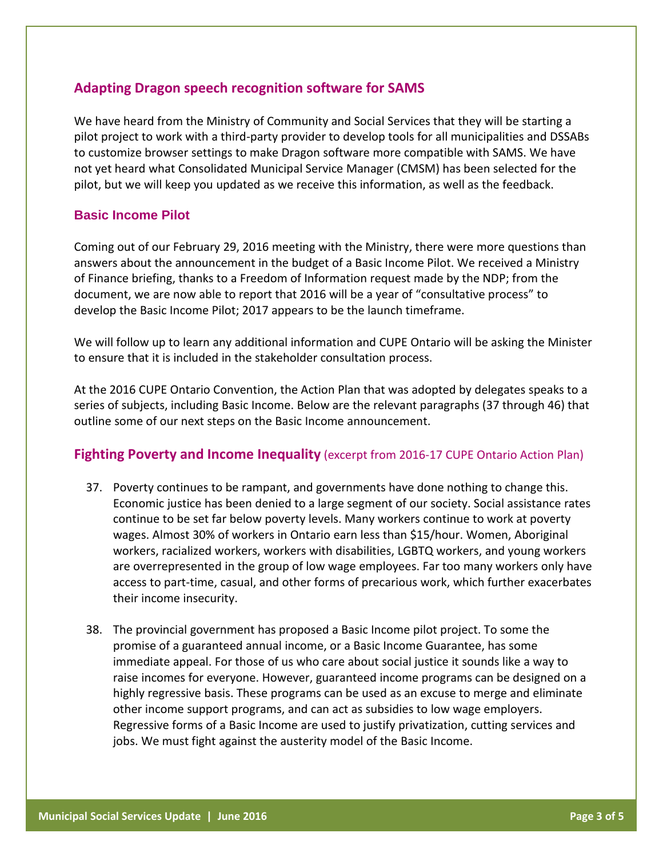# **Adapting Dragon speech recognition software for SAMS**

We have heard from the Ministry of Community and Social Services that they will be starting a pilot project to work with a third-party provider to develop tools for all municipalities and DSSABs to customize browser settings to make Dragon software more compatible with SAMS. We have not yet heard what Consolidated Municipal Service Manager (CMSM) has been selected for the pilot, but we will keep you updated as we receive this information, as well as the feedback.

### **Basic Income Pilot**

Coming out of our February 29, 2016 meeting with the Ministry, there were more questions than answers about the announcement in the budget of a Basic Income Pilot. We received a Ministry of Finance briefing, thanks to a Freedom of Information request made by the NDP; from the document, we are now able to report that 2016 will be a year of "consultative process" to develop the Basic Income Pilot; 2017 appears to be the launch timeframe.

We will follow up to learn any additional information and CUPE Ontario will be asking the Minister to ensure that it is included in the stakeholder consultation process.

At the 2016 CUPE Ontario Convention, the Action Plan that was adopted by delegates speaks to a series of subjects, including Basic Income. Below are the relevant paragraphs (37 through 46) that outline some of our next steps on the Basic Income announcement.

### **Fighting Poverty and Income Inequality** (excerpt from 2016-17 CUPE Ontario Action Plan)

- 37. Poverty continues to be rampant, and governments have done nothing to change this. Economic justice has been denied to a large segment of our society. Social assistance rates continue to be set far below poverty levels. Many workers continue to work at poverty wages. Almost 30% of workers in Ontario earn less than \$15/hour. Women, Aboriginal workers, racialized workers, workers with disabilities, LGBTQ workers, and young workers are overrepresented in the group of low wage employees. Far too many workers only have access to part-time, casual, and other forms of precarious work, which further exacerbates their income insecurity.
- 38. The provincial government has proposed a Basic Income pilot project. To some the promise of a guaranteed annual income, or a Basic Income Guarantee, has some immediate appeal. For those of us who care about social justice it sounds like a way to raise incomes for everyone. However, guaranteed income programs can be designed on a highly regressive basis. These programs can be used as an excuse to merge and eliminate other income support programs, and can act as subsidies to low wage employers. Regressive forms of a Basic Income are used to justify privatization, cutting services and jobs. We must fight against the austerity model of the Basic Income.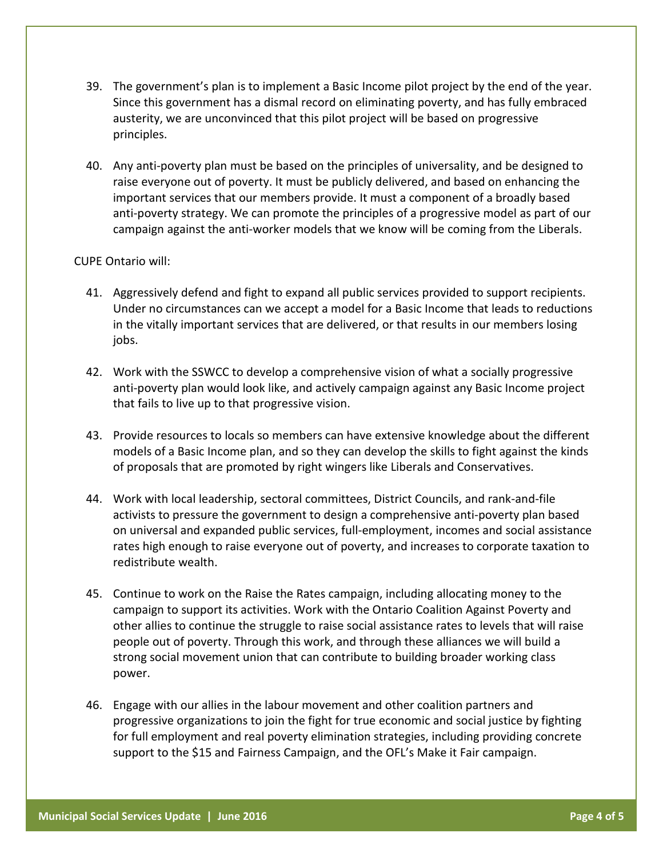- 39. The government's plan is to implement a Basic Income pilot project by the end of the year. Since this government has a dismal record on eliminating poverty, and has fully embraced austerity, we are unconvinced that this pilot project will be based on progressive principles.
- 40. Any anti-poverty plan must be based on the principles of universality, and be designed to raise everyone out of poverty. It must be publicly delivered, and based on enhancing the important services that our members provide. It must a component of a broadly based anti-poverty strategy. We can promote the principles of a progressive model as part of our campaign against the anti-worker models that we know will be coming from the Liberals.

#### CUPE Ontario will:

- 41. Aggressively defend and fight to expand all public services provided to support recipients. Under no circumstances can we accept a model for a Basic Income that leads to reductions in the vitally important services that are delivered, or that results in our members losing jobs.
- 42. Work with the SSWCC to develop a comprehensive vision of what a socially progressive anti-poverty plan would look like, and actively campaign against any Basic Income project that fails to live up to that progressive vision.
- 43. Provide resources to locals so members can have extensive knowledge about the different models of a Basic Income plan, and so they can develop the skills to fight against the kinds of proposals that are promoted by right wingers like Liberals and Conservatives.
- 44. Work with local leadership, sectoral committees, District Councils, and rank-and-file activists to pressure the government to design a comprehensive anti-poverty plan based on universal and expanded public services, full-employment, incomes and social assistance rates high enough to raise everyone out of poverty, and increases to corporate taxation to redistribute wealth.
- 45. Continue to work on the Raise the Rates campaign, including allocating money to the campaign to support its activities. Work with the Ontario Coalition Against Poverty and other allies to continue the struggle to raise social assistance rates to levels that will raise people out of poverty. Through this work, and through these alliances we will build a strong social movement union that can contribute to building broader working class power.
- 46. Engage with our allies in the labour movement and other coalition partners and progressive organizations to join the fight for true economic and social justice by fighting for full employment and real poverty elimination strategies, including providing concrete support to the \$15 and Fairness Campaign, and the OFL's Make it Fair campaign.